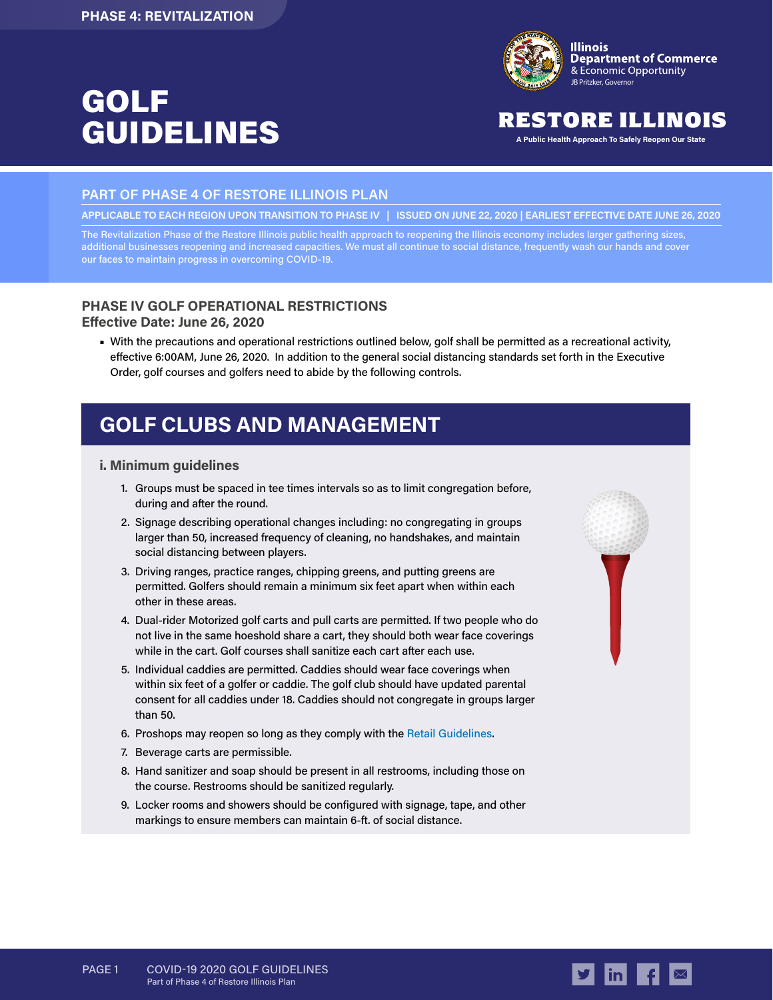# GOLF GUIDELINES **A Public Health Approach To Safely Reopen Our State**



# RESTORE ILLINOIS

### **PART OF PHASE 4 OF RESTORE ILLINOIS PLAN**

**APPLICABLE TO EACH REGION UPON TRANSITION TO PHASE IV | ISSUED ON JUNE 22, 2020 | EARLIEST EFFECTIVE DATE JUNE 26, 2020**

The Revitalization Phase of the Restore Illinois public health approach to reopening the Illinois economy includes larger gathering sizes, additional businesses reopening and increased capacities. We must all continue to social distance, frequently wash our hands and cover our faces to maintain progress in overcoming COVID-19.

### **PHASE IV GOLF OPERATIONAL RESTRICTIONS Effective Date: June 26, 2020**

■ With the precautions and operational restrictions outlined below, golf shall be permitted as a recreational activity, effective 6:00AM, June 26, 2020. In addition to the general social distancing standards set forth in the Executive Order, golf courses and golfers need to abide by the following controls.

# **GOLF CLUBS AND MANAGEMENT**

#### **i. Minimum guidelines**

- 1. Groups must be spaced in tee times intervals so as to limit congregation before, during and after the round.
- 2. Signage describing operational changes including: no congregating in groups larger than 50, increased frequency of cleaning, no handshakes, and maintain social distancing between players.
- 3. Driving ranges, practice ranges, chipping greens, and putting greens are permitted. Golfers should remain a minimum six feet apart when within each other in these areas.
- 4. Dual-rider Motorized golf carts and pull carts are permitted. If two people who do not live in the same hoeshold share a cart, they should both wear face coverings while in the cart. Golf courses shall sanitize each cart after each use.
- 5. Individual caddies are permitted. Caddies should wear face coverings when within six feet of a golfer or caddie. The golf club should have updated parental consent for all caddies under 18. Caddies should not congregate in groups larger than 50.
- 6. Proshops may reopen so long as they comply with the [Retail Guidelines.](https://dceocovid19resources.com/assets/Restore-Illinois/businessguidelines4/retail.pdf)
- 7. Beverage carts are permissible.
- 8. Hand sanitizer and soap should be present in all restrooms, including those on the course. Restrooms should be sanitized regularly.
- 9. Locker rooms and showers should be configured with signage, tape, and other markings to ensure members can maintain 6-ft. of social distance.





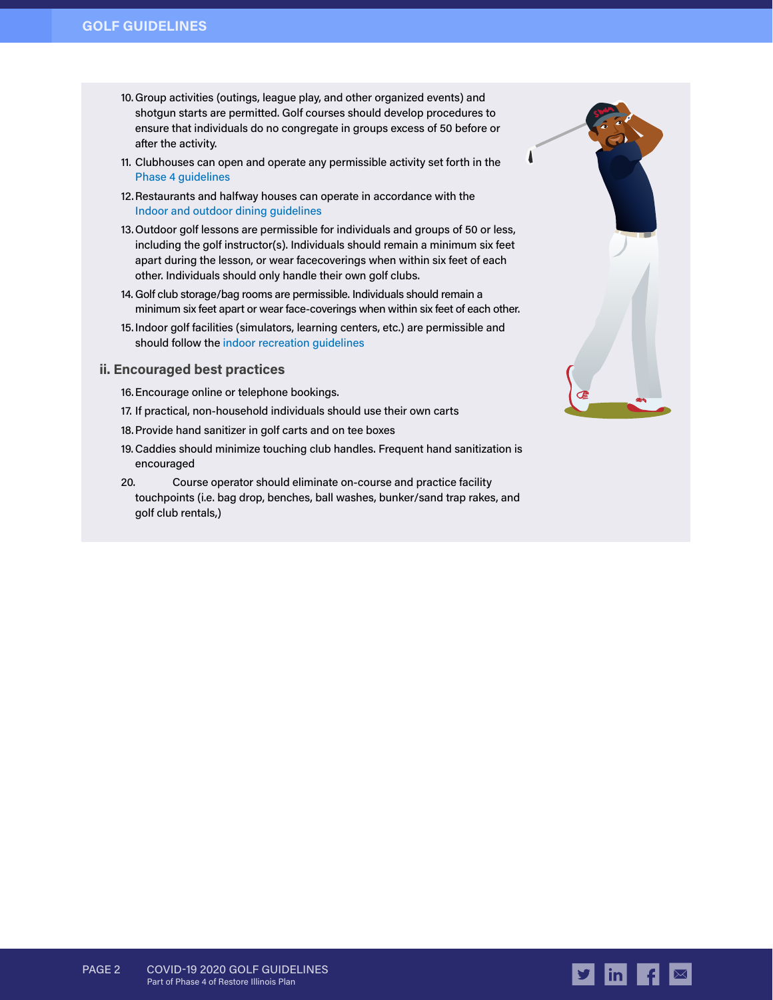- 10. Group activities (outings, league play, and other organized events) and shotgun starts are permitted. Golf courses should develop procedures to ensure that individuals do no congregate in groups excess of 50 before or after the activity.
- 11. Clubhouses can open and operate any permissible activity set forth in the [Phase 4 guidelines](https://dceocovid19resources.com/restore-illinois/restore-illinois-phase-4/indoor-and-outdoor-dining/)
- 12.Restaurants and halfway houses can operate in accordance with the [Indoor and outdoor dining guidelines](https://dceocovid19resources.com/restore-illinois/restore-illinois-phase-4/indoor-and-outdoor-dining/)
- 13.Outdoor golf lessons are permissible for individuals and groups of 50 or less, including the golf instructor(s). Individuals should remain a minimum six feet apart during the lesson, or wear facecoverings when within six feet of each other. Individuals should only handle their own golf clubs.
- 14. Golf club storage/bag rooms are permissible. Individuals should remain a minimum six feet apart or wear face-coverings when within six feet of each other.
- 15.Indoor golf facilities (simulators, learning centers, etc.) are permissible and should follow th[e indoor recreation guidelines](https://dceocovid19resources.com/restore-illinois/restore-illinois-phase-4/indoor-and-outdoor-recreation/)

#### **ii. Encouraged best practices**

- 16.Encourage online or telephone bookings.
- 17. If practical, non-household individuals should use their own carts
- 18.Provide hand sanitizer in golf carts and on tee boxes
- 19.Caddies should minimize touching club handles. Frequent hand sanitization is encouraged
- 20. Course operator should eliminate on-course and practice facility touchpoints (i.e. bag drop, benches, ball washes, bunker/sand trap rakes, and golf club rentals,)